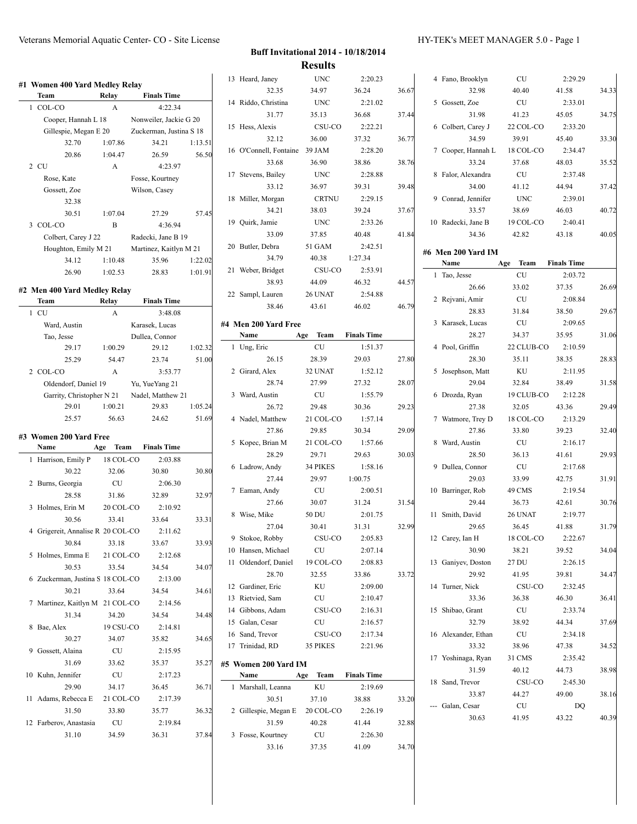|   | #1 Women 400 Yard Medley Relay<br>Team | Relay       | <b>Finals Time</b>                  |         |
|---|----------------------------------------|-------------|-------------------------------------|---------|
| 1 | COL-CO                                 | A           | 4:22.34                             |         |
|   | Cooper, Hannah L 18                    |             | Nonweiler, Jackie G 20              |         |
|   | Gillespie, Megan E 20                  |             | Zuckerman, Justina S 18             |         |
|   | 32.70                                  | 1:07.86     | 34.21                               | 1:13.51 |
|   | 20.86                                  | 1:04.47     | 26.59                               | 56.50   |
|   | 2 CU                                   | A           | 4:23.97                             |         |
|   | Rose, Kate                             |             | Fosse, Kourtney                     |         |
|   | Gossett, Zoe                           |             | Wilson, Casey                       |         |
|   | 32.38                                  |             |                                     |         |
|   | 30.51                                  | 1:07.04     | 27.29                               | 57.45   |
|   | 3 COL-CO                               | B           | 4:36.94                             |         |
|   | Colbert, Carey J 22                    |             | Radecki, Jane B 19                  |         |
|   | Houghton, Emily M 21                   |             | Martinez, Kaitlyn M 21              |         |
|   | 34.12                                  | 1:10.48     | 35.96                               | 1:22.02 |
|   | 26.90                                  | 1:02.53     | 28.83                               | 1:01.91 |
|   |                                        |             |                                     |         |
|   | #2 Men 400 Yard Medley Relay<br>Team   | Relay       | <b>Finals Time</b>                  |         |
| 1 | <b>CU</b>                              | A           | 3:48.08                             |         |
|   |                                        |             |                                     |         |
|   | Ward, Austin                           |             | Karasek, Lucas<br>Dullea, Connor    |         |
|   | Tao, Jesse<br>29.17                    | 1:00.29     | 29.12                               | 1:02.32 |
|   | 25.29                                  | 54.47       | 23.74                               | 51.00   |
|   | 2 COL-CO                               | A           | 3:53.77                             |         |
|   | Oldendorf, Daniel 19                   |             |                                     |         |
|   |                                        |             | Yu, YueYang 21<br>Nadel, Matthew 21 |         |
|   | Garrity, Christopher N 21<br>29.01     | 1:00.21     | 29.83                               | 1:05.24 |
|   | 25.57                                  | 56.63       | 24.62                               | 51.69   |
|   |                                        |             |                                     |         |
|   | #3  Women 200 Yard Free                |             |                                     |         |
|   | Name                                   | Team<br>Age | <b>Finals Time</b>                  |         |
| 1 | Harrison, Emily P                      | 18 COL-CO   | 2:03.88                             |         |
|   | 30.22                                  | 32.06       | 30.80                               | 30.80   |
| 2 | Burns, Georgia                         | CU          | 2:06.30                             |         |
|   | 28.58                                  | 31.86       | 32.89                               | 32.97   |
| 3 | Holmes, Erin M                         | 20 COL-CO   | 2:10.92                             |         |
|   | 30.56                                  | 33.41       | 33.64                               | 33.31   |
|   | 4 Grigereit, Annalise R 20 COL-CO      |             | 2:11.62                             |         |
|   | 30.84                                  | 33.18       | 33.67                               | 33.93   |
| 5 | Holmes, Emma E 21 COL-CO               |             | 2:12.68                             |         |
|   | 30.53                                  | 33.54       | 34.54                               | 34.07   |
|   | 6 Zuckerman, Justina S 18 COL-CO       |             | 2:13.00                             |         |
|   | 30.21                                  | 33.64       | 34.54                               | 34.61   |
| 7 | Martinez, Kaitlyn M 21 COL-CO          |             | 2:14.56                             |         |
|   | 31.34                                  | 34.20       | 34.54                               | 34.48   |
| 8 | Bae, Alex                              | 19 CSU-CO   | 2:14.81                             |         |
|   | 30.27                                  | 34.07       | 35.82                               | 34.65   |
| 9 | Gossett, Alaina                        | <b>CU</b>   | 2:15.95                             |         |
|   | 31.69                                  | 33.62       | 35.37                               | 35.27   |
|   |                                        |             |                                     |         |

 $\overline{a}$ 

29.90 34.17 36.45 36.71

31.50 33.80 35.77 36.32

31.10 34.59 36.31 37.84

11 Adams, Rebecca E 21 COL-CO 2:17.39

12 Farberov, Anastasia CU 2:19.84

| <b>Buff Invitational 2014 - 10/18/2014</b> |
|--------------------------------------------|
| <b>Results</b>                             |

|    | 13 Heard, Janey        | UNC                | 2:20.23            |       |
|----|------------------------|--------------------|--------------------|-------|
|    | 32.35                  | 34.97              | 36.24              | 36.67 |
|    | 14 Riddo, Christina    | <b>UNC</b>         | 2:21.02            |       |
|    | 31.77                  | 35.13              | 36.68              | 37.44 |
| 15 | Hess, Alexis           | CSU-CO             | 2:22.21            |       |
|    | 32.12                  | 36.00              | 37.32              | 36.77 |
|    | 16 O'Connell, Fontaine | 39 JAM             | 2:28.20            |       |
|    | 33.68                  | 36.90              | 38.86              | 38.76 |
|    | 17 Stevens, Bailey     | <b>UNC</b>         | 2:28.88            |       |
|    | 33.12                  | 36.97              | 39.31              | 39.48 |
| 18 | Miller, Morgan         | CRTNU              | 2:29.15            |       |
|    | 34.21                  | 38.03              | 39.24              | 37.67 |
|    | 19 Quirk, Jamie        | <b>UNC</b>         | 2:33.26            |       |
|    | 33.09                  | 37.85              | 40.48              | 41.84 |
|    | 20 Butler, Debra       | 51 GAM             | 2:42.51            |       |
|    | 34.79                  | 40.38              | 1:27.34            |       |
| 21 | Weber, Bridget         | CSU-CO             | 2:53.91            |       |
|    |                        |                    |                    |       |
|    | 38.93                  | 44.09              | 46.32              | 44.57 |
|    | 22 Sampl, Lauren       | 26 UNAT            | 2:54.88            |       |
|    | 38.46                  | 43.61              | 46.02              | 46.79 |
|    | #4 Men 200 Yard Free   |                    |                    |       |
|    | Name                   | <b>Team</b><br>Age | <b>Finals Time</b> |       |
| 1  | Ung, Eric              | CU                 | 1:51.37            |       |
|    | 26.15                  | 28.39              | 29.03              | 27.80 |
|    | 2 Girard, Alex         | 32 UNAT            | 1:52.12            |       |
|    | 28.74                  | 27.99              | 27.32              | 28.07 |
|    | 3 Ward, Austin         | <b>CU</b>          | 1:55.79            |       |
|    | 26.72                  | 29.48              | 30.36              | 29.23 |
|    | 4 Nadel, Matthew       | 21 COL-CO          | 1:57.14            |       |
|    | 27.86                  | 29.85              | 30.34              | 29.09 |
| 5  | Kopec, Brian M         | 21 COL-CO          | 1:57.66            |       |
|    | 28.29                  | 29.71              | 29.63              | 30.03 |
|    | 6 Ladrow, Andy         | 34 PIKES           | 1:58.16            |       |
|    | 27.44                  | 29.97              | 1:00.75            |       |
| 7  | Eaman, Andy            | <b>CU</b>          | 2:00.51            |       |
|    | 27.66                  | 30.07              | 31.24              | 31.54 |
|    | 8 Wise, Mike           | 50 DU              | 2:01.75            |       |
|    | 27.04                  | 30.41              | 31.31              | 32.99 |
|    | 9 Stokoe, Robby        | CSU-CO             | 2:05.83            |       |
|    | 10 Hansen, Michael     | CU                 | 2:07.14            |       |
| 11 | Oldendorf, Daniel      | 19 COL-CO          | 2:08.83            |       |
|    | 28.70                  | 32.55              | 33.86              | 33.72 |
|    | 12 Gardiner, Eric      | KU                 | 2:09.00            |       |
|    | 13 Rietvied, Sam       | CU                 | 2:10.47            |       |
|    | 14 Gibbons, Adam       | CSU-CO             | 2:16.31            |       |
|    | 15 Galan, Cesar        | CU                 | 2:16.57            |       |
|    |                        |                    |                    |       |
|    | 16 Sand, Trevor        | CSU-CO<br>35 PIKES | 2:17.34<br>2:21.96 |       |
|    | 17 Trinidad, RD        |                    |                    |       |
|    | #5 Women 200 Yard IM   |                    |                    |       |
|    | Name                   | Team<br>Age        | <b>Finals Time</b> |       |
| 1  | Marshall, Leanna       | KU                 | 2:19.69            |       |
|    | 30.51                  | 37.10              | 38.88              | 33.20 |
|    | 2 Gillespie, Megan E   | 20 COL-CO          | 2:26.19            |       |
|    | 31.59                  | 40.28              | 41.44              | 32.88 |
| 3  | Fosse, Kourtney        | CU                 | 2:26.30            |       |
|    | 33.16                  | 37.35              | 41.09              | 34.70 |

|    | 4 Fano, Brooklyn    | CU                 | 2:29.29            |       |
|----|---------------------|--------------------|--------------------|-------|
|    | 32.98               | 40.40              | 41.58              | 34.33 |
|    | 5 Gossett, Zoe      | CU                 | 2:33.01            |       |
|    | 31.98               | 41.23              | 45.05              | 34.75 |
|    | 6 Colbert, Carey J  | 22 COL-CO          | 2:33.20            |       |
|    | 34.59               | 39.91              | 45.40              | 33.30 |
| 7  | Cooper, Hannah L    | 18 COL-CO          | 2:34.47            |       |
|    | 33.24               | 37.68              | 48.03              | 35.52 |
| 8  | Falor, Alexandra    | <b>CU</b>          | 2:37.48            |       |
|    | 34.00               | 41.12              | 44.94              | 37.42 |
|    | 9 Conrad, Jennifer  | <b>UNC</b>         | 2:39.01            |       |
|    | 33.57               | 38.69              | 46.03              | 40.72 |
|    | 10 Radecki, Jane B  | 19 COL-CO          | 2:40.41            |       |
|    | 34.36               | 42.82              | 43.18              | 40.05 |
|    |                     |                    |                    |       |
|    | #6 Men 200 Yard IM  |                    |                    |       |
|    | Name                | <b>Team</b><br>Age | <b>Finals Time</b> |       |
| 1  | Tao, Jesse          | CU                 | 2:03.72            |       |
|    | 26.66               | 33.02              | 37.35              | 26.69 |
|    | 2 Rejvani, Amir     | CU                 | 2:08.84            |       |
|    | 28.83               | 31.84              | 38.50              | 29.67 |
|    | 3 Karasek, Lucas    | CU                 | 2:09.65            |       |
|    | 28.27               | 34.37              | 35.95              | 31.06 |
|    | 4 Pool, Griffin     | 22 CLUB-CO         | 2:10.59            |       |
|    | 28.30               | 35.11              | 38.35              | 28.83 |
| 5  | Josephson, Matt     | KU                 | 2:11.95            |       |
|    | 29.04               | 32.84              | 38.49              | 31.58 |
| 6  | Drozda, Ryan        | 19 CLUB-CO         | 2:12.28            |       |
|    | 27.38               | 32.05              | 43.36              | 29.49 |
| 7  | Watmore, Trey D     | 18 COL-CO          | 2:13.29            |       |
|    | 27.86               | 33.80              | 39.23              | 32.40 |
| 8  | Ward, Austin        | <b>CU</b>          | 2:16.17            |       |
|    | 28.50               | 36.13              | 41.61              | 29.93 |
|    | 9 Dullea, Connor    | CU                 | 2:17.68            |       |
|    | 29.03               | 33.99              | 42.75              | 31.91 |
| 10 | Barringer, Rob      | 49 CMS             | 2:19.54            |       |
|    | 29.44               | 36.73              | 42.61              | 30.76 |
| 11 | Smith, David        | 26 UNAT            | 2:19.77            |       |
|    | 29.65               | 36.45              | 41.88              | 31.79 |
|    | 12 Carey, Ian H     | 18 COL-CO          | 2:22.67            |       |
|    | 30.90               | 38.21              | 39.52              | 34.04 |
|    | 13 Ganiyev, Doston  | 27 DU              | 2:26.15            |       |
|    | 29.92               |                    |                    |       |
|    |                     | 41.95              | 39.81              | 34.47 |
| 14 | Turner, Nick        | CSU-CO             | 2:32.45            |       |
|    | 33.36               | 36.38              | 46.30              | 36.41 |
| 15 | Shibao, Grant       | CU                 | 2:33.74            |       |
|    | 32.79               | 38.92              | 44.34              | 37.69 |
|    | 16 Alexander, Ethan | CU                 | 2:34.18            |       |
|    | 33.32               | 38.96              | 47.38              | 34.52 |
|    | 17 Yoshinaga, Ryan  | 31 CMS             | 2:35.42            |       |
|    | 31.59               | 40.12              | 44.73              | 38.98 |
|    | 18 Sand, Trevor     | CSU-CO             | 2:45.30            |       |
|    | 33.87               | 44.27              | 49.00              | 38.16 |
|    | Galan, Cesar        | CU                 | DQ                 |       |
|    | 30.63               | 41.95              | 43.22              | 40.39 |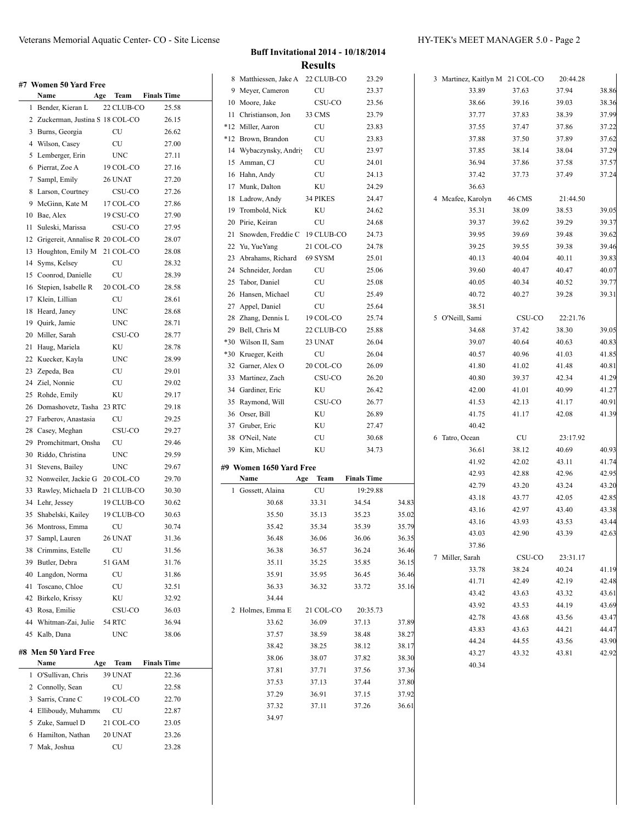**#7 Women 50 Yard Free Name Age Team Finals Time** 1 Bender, Kieran L 22 CLUB-CO 25.58 Zuckerman, Justina S 18 COL-CO 26.15 Burns, Georgia CU 26.62 Wilson, Casey CU 27.00 Lemberger, Erin UNC 27.11 Pierrat, Zoe A 19 COL-CO 27.16 Sampl, Emily 26 UNAT 27.20 Larson, Courtney CSU-CO 27.26 McGinn, Kate M 17 COL-CO 27.86 Bae, Alex 19 CSU-CO 27.90 Suleski, Marissa CSU-CO 27.95 Grigereit, Annalise R 20 COL-CO 28.07 Houghton, Emily M 21 COL-CO 28.08 Syms, Kelsey CU 28.32 Coonrod, Danielle CU 28.39 Stepien, Isabelle R 20 COL-CO 28.58 Klein, Lillian CU 28.61 18 Heard, Janey UNC 28.68 Quirk, Jamie UNC 28.71 Miller, Sarah CSU-CO 28.77 Haug, Mariela KU 28.78 Kuecker, Kayla UNC 28.99 Zepeda, Bea CU 29.01 Ziel, Nonnie CU 29.02 Rohde, Emily KU 29.17 Domashovetz, Tasha 23 RTC 29.18 Farberov, Anastasia CU 29.25 28 Casey, Meghan CSU-CO 29.27 29 Promchitmart, Onsha CU 29.46 Riddo, Christina UNC 29.59 31 Stevens, Bailey UNC 29.67 Nonweiler, Jackie G 20 COL-CO 29.70 Rawley, Michaela D 21 CLUB-CO 30.30 Lehr, Jessey 19 CLUB-CO 30.62 Shabelski, Kailey 19 CLUB-CO 30.63 Montross, Emma CU 30.74 Sampl, Lauren 26 UNAT 31.36 Crimmins, Estelle CU 31.56 Butler, Debra 51 GAM 31.76 Langdon, Norma CU 31.86 Toscano, Chloe CU 32.51 Birkelo, Krissy KU 32.92 Rosa, Emilie CSU-CO 36.03 Whitman-Zai, Julie 54 RTC 36.94 Kalb, Dana UNC 38.06 **#8 Men 50 Yard Free Name Age Team Finals Time** O'Sullivan, Chris 39 UNAT 22.36 2 Connolly, Sean CU 22.58 Sarris, Crane C 19 COL-CO 22.70 4 Elliboudy, Muhamme CU 22.87 Zuke, Samuel D 21 COL-CO 23.05 Hamilton, Nathan 20 UNAT 23.26 Mak, Joshua CU 23.28

### **Buff Invitational 2014 - 10/18/2014 Results**

|    | 8 Matthiessen, Jake A 22 CLUB-CO |                | 23.29              |                                                                                                 |
|----|----------------------------------|----------------|--------------------|-------------------------------------------------------------------------------------------------|
|    | 9 Meyer, Cameron                 | CU             | 23.37              |                                                                                                 |
|    | 10 Moore, Jake                   | CSU-CO         | 23.56              |                                                                                                 |
|    | 11 Christianson, Jon             | 33 CMS         | 23.79              |                                                                                                 |
|    | *12 Miller, Aaron                | CU             | 23.83              |                                                                                                 |
|    | *12 Brown, Brandon               | CU             | 23.83              |                                                                                                 |
|    | 14 Wybaczynsky, Andriy           | CU             | 23.97              |                                                                                                 |
|    | 15 Amman, CJ                     | CU             | 24.01              |                                                                                                 |
|    | 16 Hahn, Andy                    | CU             | 24.13              |                                                                                                 |
|    | 17 Munk, Dalton                  | ΚU             | 24.29              |                                                                                                 |
|    | 18 Ladrow, Andy                  | 34 PIKES       | 24.47              |                                                                                                 |
|    | 19 Trombold, Nick                | KU             | 24.62              |                                                                                                 |
|    | 20 Pirie, Keiran                 | CU             | 24.68              |                                                                                                 |
| 21 | Snowden, Freddie C 19 CLUB-CO    |                | 24.73              |                                                                                                 |
|    |                                  |                |                    |                                                                                                 |
|    | 22 Yu, YueYang                   | 21 COL-CO      | 24.78              |                                                                                                 |
|    | 23 Abrahams, Richard             | 69 SYSM        | 25.01              |                                                                                                 |
|    | 24 Schneider, Jordan             | CU             | 25.06              |                                                                                                 |
|    | 25 Tabor, Daniel                 | CU             | 25.08              |                                                                                                 |
|    | 26 Hansen, Michael               | CU             | 25.49              |                                                                                                 |
|    | 27 Appel, Daniel                 | CU             | 25.64              |                                                                                                 |
|    | 28 Zhang, Dennis L               | 19 COL-CO      | 25.74              |                                                                                                 |
|    | 29 Bell, Chris M                 | 22 CLUB-CO     | 25.88              |                                                                                                 |
|    | *30 Wilson II, Sam               | 23 UNAT        | 26.04              |                                                                                                 |
|    | *30 Krueger, Keith               | CU             | 26.04              |                                                                                                 |
|    | 32 Garner, Alex O                | 20 COL-CO      | 26.09              |                                                                                                 |
|    | 33 Martinez, Zach                | CSU-CO         | 26.20              |                                                                                                 |
|    |                                  | ΚU             | 26.42              |                                                                                                 |
|    | 34 Gardiner, Eric                |                |                    |                                                                                                 |
|    | 35 Raymond, Will                 | CSU-CO         | 26.77              |                                                                                                 |
|    | 36 Orser, Bill                   | ΚU             | 26.89              |                                                                                                 |
|    | 37 Gruber, Eric                  | ΚU             | 27.47              |                                                                                                 |
|    | 38 O'Neil, Nate                  | CU             | 30.68              |                                                                                                 |
|    | 39 Kim, Michael                  | ΚU             | 34.73              |                                                                                                 |
|    |                                  |                |                    |                                                                                                 |
|    | #9  Women 1650 Yard Free         |                |                    |                                                                                                 |
|    | Name<br>Age                      | Team           | <b>Finals Time</b> |                                                                                                 |
| 1  | Gossett, Alaina                  | CU             | 19:29.88           |                                                                                                 |
|    | 30.68                            | 33.31          | 34.54              | 34.83                                                                                           |
|    | 35.50                            | 35.13          | 35.23              |                                                                                                 |
|    | 35.42                            | 35.34          | 35.39              |                                                                                                 |
|    | 36.48                            | 36.06          | 36.06              |                                                                                                 |
|    | 36.38                            | 36.57          | 36.24              | 35.02<br>35.79<br>36.35<br>36.46                                                                |
|    | 35.11                            | 35.25          | 35.85              |                                                                                                 |
|    | 35.91                            | 35.95          | 36.45              |                                                                                                 |
|    | 36.33                            | 36.32          | 33.72              |                                                                                                 |
|    | 34.44                            |                |                    |                                                                                                 |
| 2  | Holmes, Emma E                   | 21 COL-CO      | 20:35.73           |                                                                                                 |
|    | 33.62                            | 36.09          | 37.13              |                                                                                                 |
|    | 37.57                            | 38.59          | 38.48              |                                                                                                 |
|    | 38.42                            | 38.25          | 38.12              |                                                                                                 |
|    | 38.06                            | 38.07          | 37.82              |                                                                                                 |
|    | 37.81                            |                |                    |                                                                                                 |
|    |                                  | 37.71          | 37.56              |                                                                                                 |
|    | 37.53                            | 37.13          | 37.44              |                                                                                                 |
|    | 37.29<br>37.32                   | 36.91<br>37.11 | 37.15<br>37.26     | 36.15<br>36.46<br>35.16<br>37.89<br>38.27<br>38.17<br>38.30<br>37.36<br>37.80<br>37.92<br>36.61 |

|                   |                 | 3 Martinez, Kaitlyn M 21 COL-CO | 20:44.28       |                                  |
|-------------------|-----------------|---------------------------------|----------------|----------------------------------|
|                   | 33.89           | 37.63                           | 37.94          | 38.86                            |
|                   | 38.66           | 39.16                           | 39.03          | 38.36                            |
|                   | 37.77           | 37.83                           | 38.39          | 37.99                            |
|                   | 37.55           | 37.47                           | 37.86          | 37.22                            |
|                   | 37.88           | 37.50                           | 37.89          | 37.62                            |
|                   | 37.85           | 38.14                           | 38.04          | 37.29                            |
|                   | 36.94           | 37.86                           | 37.58          | 37.57                            |
|                   | 37.42           | 37.73                           | 37.49          | 37.24                            |
|                   | 36.63           |                                 |                |                                  |
| 4                 | Mcafee, Karolyn | 46 CMS                          | 21:44.50       |                                  |
|                   | 35.31           | 38.09                           | 38.53          | 39.05                            |
|                   | 39.37           | 39.62                           | 39.29          | 39.37                            |
|                   | 39.95           | 39.69                           | 39.48          | 39.62                            |
|                   | 39.25           | 39.55                           | 39.38          | 39.46                            |
|                   | 40.13           | 40.04                           | 40.11          | 39.83                            |
|                   | 39.60           | 40.47                           | 40.47          | 40.07                            |
|                   | 40.05           | 40.34                           | 40.52          | 39.77                            |
|                   | 40.72           | 40.27                           | 39.28          | 39.31                            |
|                   | 38.51           |                                 |                |                                  |
| 5 O'Neill, Sami   |                 | CSU-CO                          | 22:21.76       |                                  |
|                   | 34.68           | 37.42                           | 38.30          | 39.05                            |
|                   | 39.07           | 40.64                           | 40.63          | 40.83                            |
|                   | 40.57           | 40.96                           | 41.03          | 41.85                            |
|                   | 41.80           | 41.02                           | 41.48          | 40.81                            |
|                   | 40.80           | 39.37                           | 42.34          | 41.29                            |
|                   | 42.00           | 41.01                           | 40.99          | 41.27                            |
|                   | 41.53           | 42.13                           | 41.17          | 40.91                            |
|                   | 41.75           | 41.17                           | 42.08          | 41.39                            |
|                   | 40.42           |                                 |                |                                  |
| 6<br>Tatro, Ocean |                 | CU                              | 23:17.92       |                                  |
|                   | 36.61           | 38.12                           | 40.69          | 40.93                            |
|                   | 41.92           | 42.02                           | 43.11          | 41.74                            |
|                   | 42.93           | 42.88                           | 42.96          | 42.95                            |
|                   | 42.79           | 43.20                           | 43.24          | 43.20                            |
|                   | 43.18           | 43.77                           | 42.05          | 42.85                            |
|                   | 43.16           | 42.97                           | 43.40          | 43.38                            |
|                   | 43.16           | 43.93                           | 43.53          | 43.44                            |
|                   | 43.03           | 42.90                           | 43.39          | 42.63                            |
|                   | 37.86           |                                 |                |                                  |
| 7 Miller, Sarah   |                 | CSU-CO                          | 23:31.17       |                                  |
|                   | 33.78           | 38.24                           | 40.24          | 41.19                            |
|                   | 41.71           | 42.49                           | 42.19          | 42.48                            |
|                   | 43.42           | 43.63                           | 43.32          | 43.61                            |
|                   |                 |                                 | 44.19          | 43.69                            |
|                   |                 |                                 |                |                                  |
|                   | 43.92           | 43.53                           |                |                                  |
|                   | 42.78           | 43.68                           | 43.56          |                                  |
|                   | 43.83           | 43.63                           | 44.21          |                                  |
|                   | 44.24<br>43.27  | 44.55<br>43.32                  | 43.56<br>43.81 | 43.47<br>44.47<br>43.90<br>42.92 |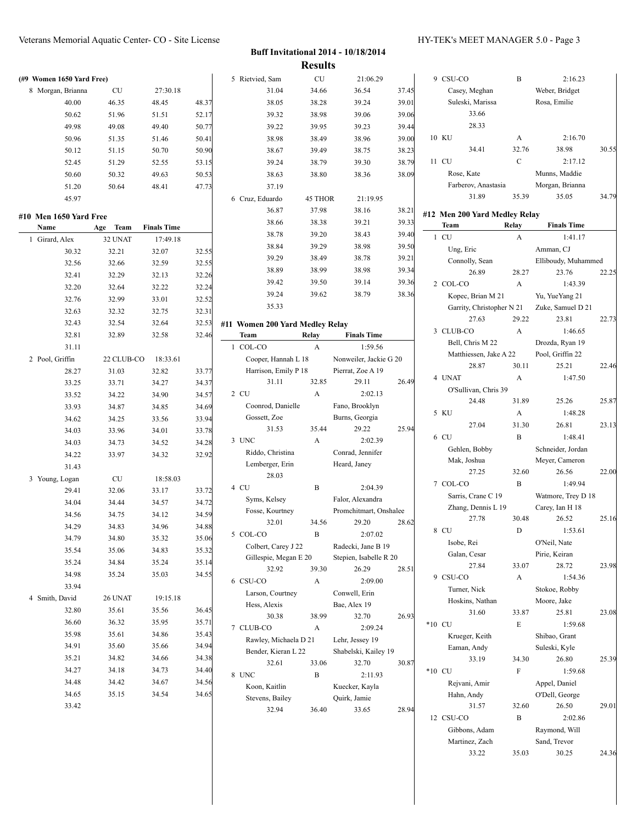| (#9 Women 1650 Yard Free) |            |                    |       | 5 Rietvied, Sam                 | CU           | 21:06.29               |       | 9 CSU-CO                      | $\, {\bf B}$              | 2:16.23             |       |
|---------------------------|------------|--------------------|-------|---------------------------------|--------------|------------------------|-------|-------------------------------|---------------------------|---------------------|-------|
| 8 Morgan, Brianna         | CU         | 27:30.18           |       | 31.04                           | 34.66        | 36.54                  | 37.45 | Casey, Meghan                 |                           | Weber, Bridget      |       |
| 40.00                     | 46.35      | 48.45              | 48.37 | 38.05                           | 38.28        | 39.24                  | 39.01 | Suleski, Marissa              |                           | Rosa, Emilie        |       |
| 50.62                     | 51.96      | 51.51              | 52.17 | 39.32                           | 38.98        | 39.06                  | 39.06 | 33.66                         |                           |                     |       |
| 49.98                     | 49.08      | 49.40              | 50.77 | 39.22                           | 39.95        | 39.23                  | 39.44 | 28.33                         |                           |                     |       |
| 50.96                     | 51.35      | 51.46              | 50.41 | 38.98                           | 38.49        | 38.96                  | 39.00 | 10 KU                         | A                         | 2:16.70             |       |
| 50.12                     | 51.15      | 50.70              | 50.90 | 38.67                           | 39.49        | 38.75                  | 38.23 | 34.41                         | 32.76                     | 38.98               | 30.55 |
| 52.45                     | 51.29      | 52.55              | 53.15 | 39.24                           | 38.79        | 39.30                  | 38.79 | 11 CU                         | $\mathbf C$               | 2:17.12             |       |
| 50.60                     | 50.32      | 49.63              | 50.53 | 38.63                           | 38.80        | 38.36                  | 38.09 | Rose, Kate                    |                           | Munns, Maddie       |       |
| 51.20                     | 50.64      | 48.41              | 47.73 | 37.19                           |              |                        |       | Farberov, Anastasia           |                           | Morgan, Brianna     |       |
| 45.97                     |            |                    |       | 6 Cruz, Eduardo                 | 45 THOR      | 21:19.95               |       | 31.89                         | 35.39                     | 35.05               | 34.79 |
|                           |            |                    |       | 36.87                           | 37.98        | 38.16                  | 38.21 |                               |                           |                     |       |
| #10 Men 1650 Yard Free    |            |                    |       | 38.66                           | 38.38        | 39.21                  | 39.33 | #12 Men 200 Yard Medley Relay |                           |                     |       |
| Name                      | Age Team   | <b>Finals Time</b> |       | 38.78                           | 39.20        | 38.43                  | 39.40 | Team                          | Relay                     | <b>Finals Time</b>  |       |
| 1 Girard, Alex            | 32 UNAT    | 17:49.18           |       | 38.84                           | 39.29        | 38.98                  | 39.50 | 1 CU                          | $\mathbf{A}$              | 1:41.17             |       |
| 30.32                     | 32.21      | 32.07              | 32.55 |                                 |              |                        |       | Ung, Eric                     |                           | Amman, CJ           |       |
| 32.56                     | 32.66      | 32.59              | 32.55 | 39.29                           | 38.49        | 38.78                  | 39.21 | Connolly, Sean                |                           | Elliboudy, Muhammed |       |
| 32.41                     | 32.29      | 32.13              | 32.26 | 38.89                           | 38.99        | 38.98                  | 39.34 | 26.89                         | 28.27                     | 23.76               | 22.25 |
| 32.20                     | 32.64      | 32.22              | 32.24 | 39.42                           | 39.50        | 39.14                  | 39.36 | 2 COL-CO                      | A                         | 1:43.39             |       |
| 32.76                     | 32.99      | 33.01              | 32.52 | 39.24                           | 39.62        | 38.79                  | 38.36 | Kopec, Brian M 21             |                           | Yu, YueYang 21      |       |
| 32.63                     | 32.32      | 32.75              | 32.31 | 35.33                           |              |                        |       |                               | Garrity, Christopher N 21 | Zuke, Samuel D 21   |       |
| 32.43                     | 32.54      | 32.64              | 32.53 | #11 Women 200 Yard Medley Relay |              |                        |       | 27.63                         | 29.22                     | 23.81               | 22.73 |
| 32.81                     | 32.89      | 32.58              | 32.46 | Team                            | Relay        | <b>Finals Time</b>     |       | 3 CLUB-CO                     | A                         | 1:46.65             |       |
| 31.11                     |            |                    |       | 1 COL-CO                        | $\mathbf{A}$ | 1:59.56                |       | Bell, Chris M 22              |                           | Drozda, Ryan 19     |       |
| 2 Pool, Griffin           | 22 CLUB-CO | 18:33.61           |       | Cooper, Hannah L 18             |              | Nonweiler, Jackie G 20 |       | Matthiessen, Jake A 22        |                           | Pool, Griffin 22    |       |
| 28.27                     | 31.03      | 32.82              | 33.77 | Harrison, Emily P 18            |              | Pierrat, Zoe A 19      |       | 28.87                         | 30.11                     | 25.21               | 22.46 |
| 33.25                     | 33.71      | 34.27              | 34.37 | 31.11                           | 32.85        | 29.11                  | 26.49 | 4 UNAT                        | A                         | 1:47.50             |       |
| 33.52                     | 34.22      | 34.90              | 34.57 | 2 CU                            | $\mathbf{A}$ | 2:02.13                |       | O'Sullivan, Chris 39          |                           |                     |       |
| 33.93                     | 34.87      | 34.85              | 34.69 | Coonrod, Danielle               |              | Fano, Brooklyn         |       | 24.48                         | 31.89                     | 25.26               | 25.87 |
| 34.62                     | 34.25      | 33.56              | 33.94 | Gossett, Zoe                    |              | Burns, Georgia         |       | 5 KU                          | A                         | 1:48.28             |       |
| 34.03                     | 33.96      | 34.01              | 33.78 | 31.53                           | 35.44        | 29.22                  | 25.94 | 27.04                         | 31.30                     | 26.81               | 23.13 |
| 34.03                     | 34.73      | 34.52              | 34.28 | 3 UNC                           | $\mathbf{A}$ | 2:02.39                |       | 6 CU                          | B                         | 1:48.41             |       |
|                           |            |                    |       | Riddo, Christina                |              | Conrad, Jennifer       |       | Gehlen, Bobby                 |                           | Schneider, Jordan   |       |
| 34.22                     | 33.97      | 34.32              | 32.92 | Lemberger, Erin                 |              | Heard, Janey           |       | Mak, Joshua                   |                           | Meyer, Cameron      |       |
| 31.43                     |            |                    |       | 28.03                           |              |                        |       | 27.25                         | 32.60                     | 26.56               | 22.00 |
| 3 Young, Logan            | CU         | 18:58.03           |       | 4 CU                            | B            | 2:04.39                |       | 7 COL-CO                      | $\, {\bf B}$              | 1:49.94             |       |
| 29.41                     | 32.06      | 33.17              | 33.72 | Syms, Kelsey                    |              | Falor, Alexandra       |       | Sarris, Crane C 19            |                           | Watmore, Trey D 18  |       |
| 34.04                     | 34.44      | 34.57              | 34.72 | Fosse, Kourtney                 |              | Promchitmart, Onshalee |       | Zhang, Dennis L 19            |                           | Carey, Ian H 18     |       |
| 34.56                     | 34.75      | 34.12              | 34.59 | 32.01                           | 34.56        | 29.20                  | 28.62 | 27.78                         | 30.48                     | 26.52               | 25.16 |
| 34.29                     | 34.83      | 34.96              | 34.88 | 5 COL-CO                        | B            | 2:07.02                |       | 8 CU                          | ${\rm D}$                 | 1:53.61             |       |
| 34.79                     | 34.80      | 35.32              | 35.06 | Colbert, Carey J 22             |              | Radecki, Jane B 19     |       | Isobe, Rei                    |                           | O'Neil, Nate        |       |
| 35.54                     | 35.06      | 34.83              | 35.32 | Gillespie, Megan E 20           |              | Stepien, Isabelle R 20 |       | Galan, Cesar                  |                           | Pirie, Keiran       |       |
| 35.24                     | 34.84      | 35.24              | 35.14 | 32.92                           | 39.30        | 26.29                  | 28.51 | 27.84                         | 33.07                     | 28.72               | 23.98 |
| 34.98                     | 35.24      | 35.03              | 34.55 | 6 CSU-CO                        | A            | 2:09.00                |       | 9 CSU-CO                      | A                         | 1:54.36             |       |
| 33.94                     |            |                    |       | Larson, Courtney                |              | Conwell, Erin          |       | Turner, Nick                  |                           | Stokoe, Robby       |       |
| 4 Smith, David            | 26 UNAT    | 19:15.18           |       | Hess, Alexis                    |              | Bae, Alex 19           |       | Hoskins, Nathan               |                           | Moore, Jake         |       |
| 32.80                     | 35.61      | 35.56              | 36.45 | 30.38                           | 38.99        | 32.70                  | 26.93 | 31.60                         | 33.87                     | 25.81               | 23.08 |
| 36.60                     | 36.32      | 35.95              | 35.71 | 7 CLUB-CO                       |              | 2:09.24                |       | $*10$ CU                      | E                         | 1:59.68             |       |
| 35.98                     | 35.61      | 34.86              | 35.43 |                                 | A            |                        |       | Krueger, Keith                |                           | Shibao, Grant       |       |
| 34.91                     | 35.60      | 35.66              | 34.94 | Rawley, Michaela D 21           |              | Lehr, Jessey 19        |       | Eaman, Andy                   |                           | Suleski, Kyle       |       |
| 35.21                     | 34.82      | 34.66              | 34.38 | Bender, Kieran L 22             |              | Shabelski, Kailey 19   |       | 33.19                         | 34.30                     | 26.80               | 25.39 |
| 34.27                     | 34.18      | 34.73              | 34.40 | 32.61                           | 33.06        | 32.70                  | 30.87 | *10 CU                        | $\mathbf F$               | 1:59.68             |       |
| 34.48                     | 34.42      | 34.67              | 34.56 | 8 UNC                           | B            | 2:11.93                |       | Rejvani, Amir                 |                           | Appel, Daniel       |       |
| 34.65                     | 35.15      | 34.54              | 34.65 | Koon, Kaitlin                   |              | Kuecker, Kayla         |       | Hahn, Andy                    |                           | O'Dell, George      |       |
| 33.42                     |            |                    |       | Stevens, Bailey                 |              | Quirk, Jamie           |       | 31.57                         | 32.60                     | 26.50               | 29.01 |
|                           |            |                    |       | 32.94                           | 36.40        | 33.65                  | 28.94 | 12 CSU-CO                     | $\, {\bf B}$              | 2:02.86             |       |
|                           |            |                    |       |                                 |              |                        |       | Gibbons, Adam                 |                           | Raymond, Will       |       |
|                           |            |                    |       |                                 |              |                        |       | Martinez, Zach                |                           | Sand, Trevor        |       |
|                           |            |                    |       |                                 |              |                        |       | 33.22                         | 35.03                     | 30.25               | 24.36 |
|                           |            |                    |       |                                 |              |                        |       |                               |                           |                     |       |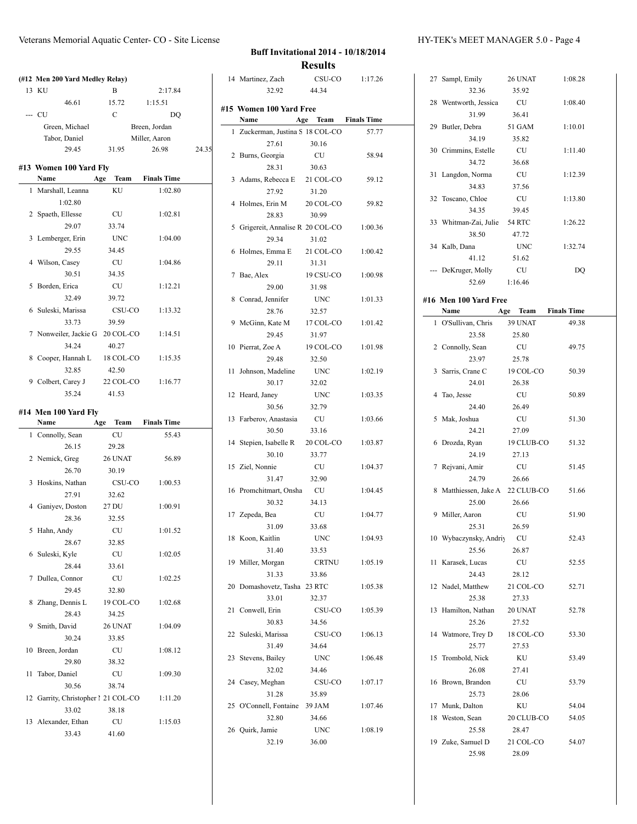### Veterans Memorial Aquatic Center- CO - Site License HY-TEK's MEET MANAGER 5.0 - Page 4

|    | (#12 Men 200 Yard Medley Relay)  |               |                    |       |
|----|----------------------------------|---------------|--------------------|-------|
|    | 13 KU                            | B             | 2:17.84            |       |
|    | 46.61                            | 15.72         | 1:15.51            |       |
|    | --- CU                           | $\mathcal{C}$ | DO                 |       |
|    | Green, Michael                   |               | Breen. Jordan      |       |
|    | Tabor, Daniel                    |               | Miller, Aaron      |       |
|    | 29.45                            | 31.95         | 26.98              | 24.35 |
|    |                                  |               |                    |       |
|    | #13 Women 100 Yard Fly<br>Name   | Age<br>Team   | <b>Finals Time</b> |       |
| 1  | Marshall, Leanna                 | ΚU            | 1:02.80            |       |
|    | 1:02.80                          |               |                    |       |
|    | 2 Spaeth, Ellesse                | CU            | 1:02.81            |       |
|    | 29.07                            |               |                    |       |
|    |                                  | 33.74         |                    |       |
|    | 3 Lemberger, Erin                | UNC           | 1:04.00            |       |
|    | 29.55                            | 34.45         |                    |       |
|    | 4 Wilson, Casey                  | CU            | 1:04.86            |       |
|    | 30.51                            | 34.35         |                    |       |
|    | 5 Borden, Erica                  | CU            | 1:12.21            |       |
|    | 32.49                            | 39.72         |                    |       |
|    | 6 Suleski, Marissa               | CSU-CO        | 1:13.32            |       |
|    | 33.73                            | 39.59         |                    |       |
| 7  | Nonweiler, Jackie G 20 COL-CO    |               | 1:14.51            |       |
|    | 34.24                            | 40.27         |                    |       |
| 8  | Cooper, Hannah L                 | 18 COL-CO     | 1:15.35            |       |
|    | 32.85                            | 42.50         |                    |       |
|    | 9 Colbert, Carey J 22 COL-CO     |               | 1:16.77            |       |
|    | 35.24                            | 41.53         |                    |       |
|    |                                  |               |                    |       |
|    |                                  |               |                    |       |
|    | #14 Men 100 Yard Fly             |               |                    |       |
|    | Name                             | Age<br>Team   | <b>Finals Time</b> |       |
|    | 1 Connolly, Sean                 | CU            | 55.43              |       |
|    | 26.15                            | 29.28         |                    |       |
|    | 2 Nemick, Greg                   | 26 UNAT       | 56.89              |       |
|    | 26.70                            | 30.19         |                    |       |
| 3  | Hoskins, Nathan                  | CSU-CO        | 1:00.53            |       |
|    | 27.91                            | 32.62         |                    |       |
|    | 4 Ganiyev, Doston 27 DU          |               | 1:00.91            |       |
|    | 28.36                            | 32.55         |                    |       |
|    | 5 Hahn, Andy                     | CU            | 1:01.52            |       |
|    | 28.67                            | 32.85         |                    |       |
|    | 6 Suleski, Kyle                  | CU            | 1:02.05            |       |
|    | 28.44                            |               |                    |       |
|    |                                  | 33.61         |                    |       |
| 7  | Dullea, Connor                   | CU            | 1:02.25            |       |
|    | 29.45                            | 32.80         |                    |       |
| 8  | Zhang, Dennis L                  | 19 COL-CO     | 1:02.68            |       |
|    | 28.43                            | 34.25         |                    |       |
|    | 9 Smith, David                   | 26 UNAT       | 1:04.09            |       |
|    | 30.24                            | 33.85         |                    |       |
| 10 | Breen, Jordan                    | CU            | 1:08.12            |       |
|    | 29.80                            | 38.32         |                    |       |
| 11 | Tabor, Daniel                    | CU            | 1:09.30            |       |
|    | 30.56                            | 38.74         |                    |       |
| 12 | Garrity, Christopher 1 21 COL-CO |               | 1:11.20            |       |
|    | 33.02                            | 38.18         |                    |       |
|    | 13 Alexander, Ethan              | <b>CU</b>     | 1:15.03            |       |

# **Buff Invitational 2014 - 10/18/2014 Results** 14 Martinez, Zach CSU-CO 1:17.26

|    | 14 Martinez, Zach                 | CSU-CU               | 1.17.20 |
|----|-----------------------------------|----------------------|---------|
|    | 32.92                             | 44.34                |         |
|    | #15 Women 100 Yard Free           |                      |         |
|    | Name                              | Age Team Finals Time |         |
|    | 1 Zuckerman, Justina S 18 COL-CO  |                      | 57.77   |
|    | 27.61                             | 30.16                |         |
|    | 2 Burns, Georgia                  | CU                   | 58.94   |
|    |                                   |                      |         |
|    | 28.31                             | 30.63                |         |
|    | 3 Adams, Rebecca E 21 COL-CO      |                      | 59.12   |
|    | 27.92                             | 31.20                |         |
| 4  | Holmes, Erin M                    | 20 COL-CO            | 59.82   |
|    | 28.83                             | 30.99                |         |
|    | 5 Grigereit, Annalise R 20 COL-CO |                      | 1:00.36 |
|    | 29.34                             | 31.02                |         |
| 6  | Holmes, Emma E 21 COL-CO          |                      | 1:00.42 |
|    | 29.11                             | 31.31                |         |
| 7  | Bae, Alex                         | 19 CSU-CO            | 1:00.98 |
|    | 29.00                             | 31.98                |         |
|    | 8 Conrad, Jennifer                | UNC                  | 1:01.33 |
|    | 28.76                             | 32.57                |         |
| 9  | McGinn, Kate M 17 COL-CO          |                      | 1:01.42 |
|    | 29.45                             | 31.97                |         |
|    | 10 Pierrat, Zoe A                 | 19 COL-CO            | 1:01.98 |
|    | 29.48                             | 32.50                |         |
| 11 | Johnson, Madeline                 | UNC                  | 1:02.19 |
|    | 30.17                             | 32.02                |         |
| 12 | Heard, Janey                      | <b>UNC</b>           | 1:03.35 |
|    | 30.56                             | 32.79                |         |
|    | 13 Farberov, Anastasia CU         |                      | 1:03.66 |
|    | 30.50                             | 33.16                |         |
|    | 14 Stepien, Isabelle R 20 COL-CO  |                      | 1:03.87 |
|    | 30.10                             | 33.77                |         |
|    | 15 Ziel, Nonnie                   | CU                   | 1:04.37 |
|    | 31.47                             | 32.90                |         |
|    |                                   |                      |         |
|    | 16 Promchitmart, Onsha            | CU                   | 1:04.45 |
|    | 30.32                             | 34.13                |         |
|    | 17 Zepeda, Bea                    | <b>CU</b>            | 1:04.77 |
|    | 31.09                             | 33.68                |         |
|    | 18 Koon, Kaitlin                  | <b>UNC</b>           | 1:04.93 |
|    | 31.40                             | 33.53                |         |
|    | 19 Miller, Morgan                 | CRTNU                | 1:05.19 |
|    | 31.33                             | 33.86                |         |
| 20 | Domashovetz, Tasha 23 RTC         |                      | 1:05.38 |
|    | 33.01                             | 32.37                |         |
| 21 | Conwell, Erin                     | CSU-CO               | 1:05.39 |
|    | 30.83                             | 34.56                |         |
|    | 22 Suleski, Marissa               | CSU-CO               | 1:06.13 |
|    | 31.49                             | 34.64                |         |
|    | 23 Stevens, Bailey                | <b>UNC</b>           | 1:06.48 |
|    | 32.02                             | 34.46                |         |
|    | 24 Casey, Meghan                  | CSU-CO               | 1:07.17 |
|    | 31.28                             | 35.89                |         |
| 25 | O'Connell, Fontaine 39 JAM        |                      | 1:07.46 |
|    | 32.80                             | 34.66                |         |
|    | 26 Quirk, Jamie                   | <b>UNC</b>           | 1:08.19 |
|    | 32.19                             | 36.00                |         |
|    |                                   |                      |         |

|    | 27 Sampl, Emily                      | 26 UNAT              | 1:08.28 |
|----|--------------------------------------|----------------------|---------|
|    | 32.36                                | 35.92                |         |
|    | 28 Wentworth, Jessica                | CU                   | 1:08.40 |
|    | 31.99                                | 36.41                |         |
|    | 29 Butler, Debra                     | 51 GAM               | 1:10.01 |
|    | 34.19                                | 35.82                |         |
|    | 30 Crimmins, Estelle                 | CU                   | 1:11.40 |
|    | 34.72                                | 36.68                |         |
|    |                                      |                      | 1:12.39 |
|    | 31 Langdon, Norma                    | CU                   |         |
|    | 34.83                                | 37.56                |         |
|    | 32 Toscano, Chloe                    | CU                   | 1:13.80 |
|    | 34.35                                | 39.45                |         |
|    | 33 Whitman-Zai, Julie 54 RTC         |                      | 1:26.22 |
|    | 38.50                                | 47.72                |         |
|    | 34 Kalb, Dana                        | <b>UNC</b>           | 1:32.74 |
|    | 41.12                                | 51.62                |         |
|    | --- DeKruger, Molly                  | <b>CU</b>            | DQ      |
|    | 52.69                                | 1:16.46              |         |
|    |                                      |                      |         |
|    | #16 Men 100 Yard Free<br>Name        | Age Team Finals Time |         |
|    | 1 O'Sullivan, Chris                  |                      | 49.38   |
|    | 23.58                                | 39 UNAT              |         |
|    |                                      | 25.80                |         |
|    | 2 Connolly, Sean                     | CU                   | 49.75   |
|    | 23.97                                | 25.78                |         |
|    | 3 Sarris, Crane C                    | 19 COL-CO            | 50.39   |
|    | 24.01                                | 26.38                |         |
| 4  | Tao, Jesse                           | <b>CU</b>            | 50.89   |
|    | 24.40                                | 26.49                |         |
| 5  | Mak, Joshua                          | CU                   | 51.30   |
|    | 24.21                                | 27.09                |         |
| 6  | Drozda, Ryan                         | 19 CLUB-CO           | 51.32   |
|    | 24.19                                | 27.13                |         |
| 7  | Rejvani, Amir                        | <b>CU</b>            | 51.45   |
|    | 24.79                                | 26.66                |         |
| 8  | Matthiessen, Jake A 22 CLUB-CO       |                      | 51.66   |
|    | 25.00                                | 26.66                |         |
|    | 9 Miller, Aaron                      | CU                   | 51.90   |
|    | 25.31                                | 26.59                |         |
|    | 10 Wybaczynsky, Andriy CU            |                      | 52.43   |
|    | 25.56                                | 26.87                |         |
| 11 | Karasek, Lucas                       | CU                   | 52.55   |
|    | 24.43                                | 28.12                |         |
|    | 12 Nadel, Matthew 21 COL-CO          |                      | 52.71   |
|    | 25.38                                | 27.33                |         |
| 13 | Hamilton, Nathan 20 UNAT             |                      | 52.78   |
|    | 25.26                                | 27.52                |         |
|    | 14 Watmore, Trey D                   | 18 COL-CO            | 53.30   |
|    | 25.77                                | 27.53                |         |
| 15 | Trombold, Nick                       | KU                   | 53.49   |
|    | 26.08                                | 27.41                |         |
|    | 16 Brown, Brandon                    | CU                   |         |
|    | 25.73                                | 28.06                | 53.79   |
|    |                                      |                      |         |
|    | 17 Munk, Dalton                      | ΚU                   | 54.04   |
|    |                                      |                      |         |
|    | 18 Weston, Sean 20 CLUB-CO           |                      | 54.05   |
|    | 25.58                                | 28.47                |         |
|    | 19 Zuke, Samuel D 21 COL-CO<br>25.98 | 28.09                | 54.07   |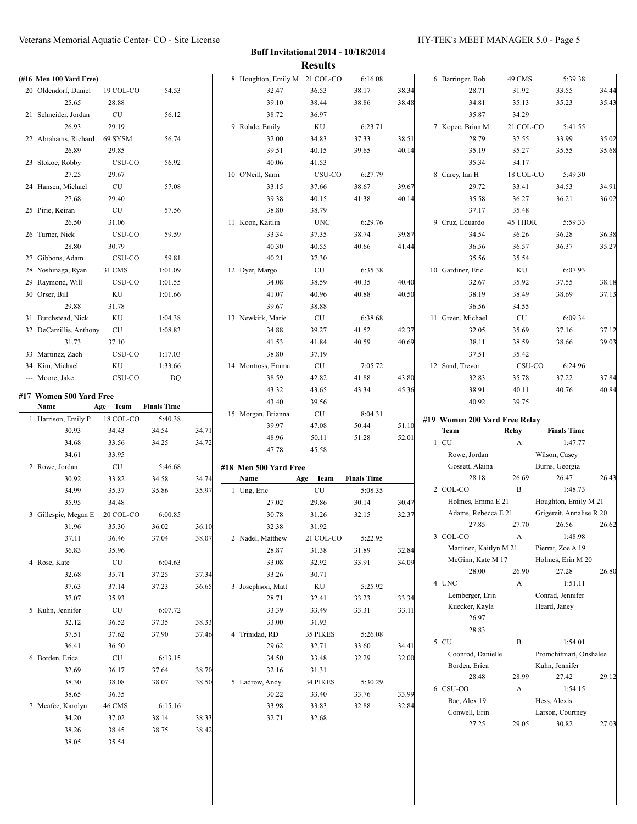| (#16 Men 100 Yard Free) |                    |                    |       | 8 Houghton, Emily M 21 COL-CO |                        | 6:16.08            |       | 6 Barringer, Rob                | 49 CMS     | 5:39.38                         |       |
|-------------------------|--------------------|--------------------|-------|-------------------------------|------------------------|--------------------|-------|---------------------------------|------------|---------------------------------|-------|
| 20 Oldendorf, Daniel    | 19 COL-CO          | 54.53              |       | 32.47                         | 36.53                  | 38.17              | 38.34 | 28.71                           | 31.92      | 33.55                           | 34.44 |
| 25.65                   | 28.88              |                    |       | 39.10                         | 38.44                  | 38.86              | 38.48 | 34.81                           | 35.13      | 35.23                           | 35.43 |
| 21 Schneider, Jordan    | CU                 | 56.12              |       | 38.72                         | 36.97                  |                    |       | 35.87                           | 34.29      |                                 |       |
| 26.93                   | 29.19              |                    |       | 9 Rohde, Emily                | KU                     | 6:23.71            |       | 7 Kopec, Brian M                | 21 COL-CO  | 5:41.55                         |       |
| 22 Abrahams, Richard    | 69 SYSM            | 56.74              |       | 32.00                         | 34.83                  | 37.33              | 38.51 | 28.79                           | 32.55      | 33.99                           | 35.02 |
| 26.89                   | 29.85              |                    |       | 39.51                         | 40.15                  | 39.65              | 40.14 | 35.19                           | 35.27      | 35.55                           | 35.68 |
| 23 Stokoe, Robby        | CSU-CO             | 56.92              |       | 40.06                         | 41.53                  |                    |       | 35.34                           | 34.17      |                                 |       |
| 27.25                   | 29.67              |                    |       | 10 O'Neill, Sami              | CSU-CO                 | 6:27.79            |       | 8 Carey, Ian H                  | 18 COL-CO  | 5:49.30                         |       |
| 24 Hansen, Michael      | CU                 | 57.08              |       | 33.15                         | 37.66                  | 38.67              | 39.67 | 29.72                           | 33.41      | 34.53                           | 34.91 |
| 27.68                   | 29.40              |                    |       | 39.38                         | 40.15                  | 41.38              | 40.14 | 35.58                           | 36.27      | 36.21                           | 36.02 |
| 25 Pirie, Keiran        | CU                 | 57.56              |       | 38.80                         | 38.79                  |                    |       | 37.17                           | 35.48      |                                 |       |
| 26.50                   | 31.06              |                    |       | 11 Koon, Kaitlin              | <b>UNC</b>             | 6:29.76            |       | 9 Cruz, Eduardo                 | 45 THOR    | 5:59.33                         |       |
| 26 Turner, Nick         | CSU-CO             | 59.59              |       | 33.34                         | 37.35                  | 38.74              | 39.87 | 34.54                           | 36.26      | 36.28                           | 36.38 |
| 28.80                   | 30.79              |                    |       | 40.30                         | 40.55                  | 40.66              | 41.44 | 36.56                           | 36.57      | 36.37                           | 35.27 |
| 27 Gibbons, Adam        | CSU-CO             | 59.81              |       | 40.21                         | 37.30                  |                    |       | 35.56                           | 35.54      |                                 |       |
| 28 Yoshinaga, Ryan      | 31 CMS             | 1:01.09            |       | 12 Dyer, Margo                | CU                     | 6:35.38            |       | 10 Gardiner, Eric               | KU         | 6:07.93                         |       |
| 29 Raymond, Will        | CSU-CO             | 1:01.55            |       | 34.08                         | 38.59                  | 40.35              | 40.40 | 32.67                           | 35.92      | 37.55                           | 38.18 |
| 30 Orser, Bill          | KU                 | 1:01.66            |       | 41.07                         | 40.96                  | 40.88              | 40.50 | 38.19                           | 38.49      | 38.69                           | 37.13 |
| 29.88                   | 31.78              |                    |       | 39.67                         | 38.88                  |                    |       | 36.56                           | 34.55      |                                 |       |
| 31 Burchstead, Nick     | KU                 | 1:04.38            |       | 13 Newkirk, Marie             | ${\rm CU}$             | 6:38.68            |       | 11 Green, Michael               | CU         | 6:09.34                         |       |
| 32 DeCamillis, Anthony  | <b>CU</b>          | 1:08.83            |       | 34.88                         | 39.27                  | 41.52              | 42.37 | 32.05                           | 35.69      | 37.16                           | 37.12 |
| 31.73                   | 37.10              |                    |       | 41.53                         | 41.84                  | 40.59              | 40.69 | 38.11                           | 38.59      | 38.66                           | 39.03 |
| 33 Martinez, Zach       | CSU-CO             | 1:17.03            |       | 38.80                         | 37.19                  |                    |       | 37.51                           | 35.42      |                                 |       |
| 34 Kim, Michael         | KU                 | 1:33.66            |       | 14 Montross, Emma             | CU                     | 7:05.72            |       | 12 Sand, Trevor                 | CSU-CO     | 6:24.96                         |       |
| --- Moore, Jake         | CSU-CO             | <b>DQ</b>          |       | 38.59                         | 42.82                  | 41.88              | 43.80 | 32.83                           | 35.78      | 37.22                           | 37.84 |
| #17 Women 500 Yard Free |                    |                    |       | 43.32                         | 43.65                  | 43.34              | 45.36 | 38.91                           | 40.11      | 40.76                           | 40.84 |
| Name                    | Age Team           | <b>Finals Time</b> |       | 43.40                         | 39.56                  |                    |       | 40.92                           | 39.75      |                                 |       |
|                         |                    |                    |       | 15 Morgan, Brianna            | CU                     | 8:04.31            |       |                                 |            |                                 |       |
|                         |                    |                    |       |                               |                        |                    |       |                                 |            |                                 |       |
| 1 Harrison, Emily P     | 18 COL-CO          | 5:40.38            |       | 39.97                         | 47.08                  | 50.44              | 51.10 | #19 Women 200 Yard Free Relay   |            |                                 |       |
| 30.93                   | 34.43              | 34.54              | 34.71 | 48.96                         | 50.11                  | 51.28              | 52.01 | Team                            | Relay<br>A | <b>Finals Time</b>              |       |
| 34.68                   | 33.56              | 34.25              | 34.72 | 47.78                         | 45.58                  |                    |       | $1$ CU                          |            | 1:47.77                         |       |
| 34.61                   | 33.95              |                    |       |                               |                        |                    |       | Rowe, Jordan<br>Gossett, Alaina |            | Wilson, Casey<br>Burns, Georgia |       |
| 2 Rowe, Jordan<br>30.92 | <b>CU</b><br>33.82 | 5:46.68<br>34.58   | 34.74 | #18 Men 500 Yard Free<br>Name | Team<br>Age            | <b>Finals Time</b> |       | 28.18                           | 26.69      | 26.47                           | 26.43 |
| 34.99                   | 35.37              | 35.86              | 35.97 | 1 Ung, Eric                   | CU                     | 5:08.35            |       | 2 COL-CO                        | B          | 1:48.73                         |       |
| 35.95                   | 34.48              |                    |       | 27.02                         | 29.86                  | 30.14              | 30.47 | Holmes, Emma E 21               |            | Houghton, Emily M 21            |       |
| 3 Gillespie, Megan E    | 20 COL-CO          | 6:00.85            |       | 30.78                         | 31.26                  | 32.15              | 32.37 | Adams, Rebecca E 21             |            | Grigereit, Annalise R 20        |       |
| 31.96                   | 35.30              | 36.02              | 36.10 | 32.38                         | 31.92                  |                    |       | 27.85                           | 27.70      | 26.56                           | 26.62 |
| 37.11                   | 36.46              |                    | 38.07 | 2 Nadel, Matthew              | 21 COL-CO              | 5:22.95            |       | 3 COL-CO                        | A          | 1:48.98                         |       |
| 36.83                   | 35.96              | 37.04              |       | 28.87                         | 31.38                  | 31.89              | 32.84 | Martinez, Kaitlyn M 21          |            | Pierrat, Zoe A 19               |       |
| 4 Rose, Kate            | ${\rm CU}$         | 6:04.63            |       | 33.08                         | 32.92                  | 33.91              | 34.09 | McGinn, Kate M 17               |            | Holmes, Erin M 20               |       |
| 32.68                   | 35.71              | 37.25              | 37.34 | 33.26                         | 30.71                  |                    |       | 28.00                           | 26.90      | 27.28                           | 26.80 |
| 37.63                   | 37.14              | 37.23              | 36.65 | 3 Josephson, Matt             | $\mathop{\mathrm{KU}}$ | 5:25.92            |       | 4 UNC                           | A          | 1:51.11                         |       |
| 37.07                   | 35.93              |                    |       | 28.71                         | 32.41                  | 33.23              | 33.34 | Lemberger, Erin                 |            | Conrad, Jennifer                |       |
| 5 Kuhn, Jennifer        | ${\rm CU}$         | 6:07.72            |       | 33.39                         | 33.49                  | 33.31              | 33.11 | Kuecker, Kayla                  |            | Heard, Janey                    |       |
| 32.12                   | 36.52              | 37.35              | 38.33 | 33.00                         | 31.93                  |                    |       | 26.97                           |            |                                 |       |
| 37.51                   | 37.62              | 37.90              | 37.46 | 4 Trinidad, RD                | 35 PIKES               | 5:26.08            |       | 28.83                           |            |                                 |       |
| 36.41                   | 36.50              |                    |       | 29.62                         | 32.71                  | 33.60              | 34.41 | 5 CU                            | B          | 1:54.01                         |       |
| 6 Borden, Erica         | ${\rm CU}$         | 6:13.15            |       | 34.50                         | 33.48                  | 32.29              | 32.00 | Coonrod, Danielle               |            | Promchitmart, Onshalee          |       |
| 32.69                   | 36.17              | 37.64              | 38.70 | 32.16                         | 31.31                  |                    |       | Borden, Erica                   |            | Kuhn, Jennifer                  |       |
| 38.30                   | 38.08              | 38.07              | 38.50 | 5 Ladrow, Andy                | 34 PIKES               | 5:30.29            |       | 28.48                           | 28.99      | 27.42                           | 29.12 |
| 38.65                   | 36.35              |                    |       | 30.22                         | 33.40                  | 33.76              | 33.99 | 6 CSU-CO                        | A          | 1:54.15                         |       |
| 7 Mcafee, Karolyn       | 46 CMS             | 6:15.16            |       | 33.98                         | 33.83                  | 32.88              | 32.84 | Bae, Alex 19                    |            | Hess, Alexis                    |       |
| 34.20                   | 37.02              | 38.14              | 38.33 | 32.71                         | 32.68                  |                    |       | Conwell, Erin                   |            | Larson, Courtney                |       |
| 38.26                   | 38.45              | 38.75              | 38.42 |                               |                        |                    |       | 27.25                           | 29.05      | 30.82                           | 27.03 |
| 38.05                   | 35.54              |                    |       |                               |                        |                    |       |                                 |            |                                 |       |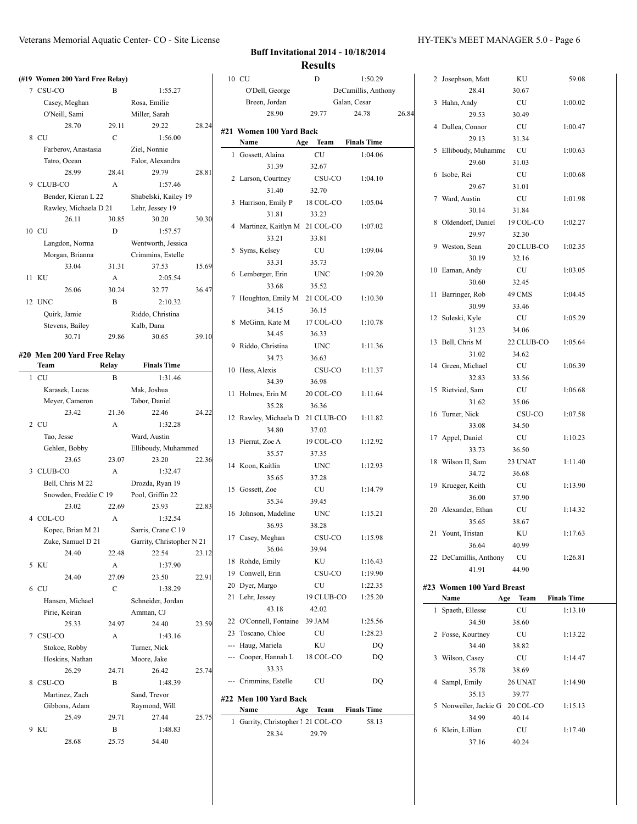|   | (#19 Women 200 Yard Free Relay) |             |                               |       |
|---|---------------------------------|-------------|-------------------------------|-------|
| 7 | CSU-CO                          | В           | 1:55.27                       |       |
|   | Casey, Meghan                   |             | Rosa, Emilie                  |       |
|   | O'Neill, Sami                   |             | Miller, Sarah                 |       |
|   | 28.70                           | 29.11       | 29.22                         | 28.24 |
|   | 8 CU                            | $\mathbf C$ | 1:56.00                       |       |
|   | Farberov, Anastasia             |             | Ziel, Nonnie                  |       |
|   | Tatro, Ocean                    |             | Falor, Alexandra              |       |
|   | 28.99                           | 28.41       | 29.79                         | 28.81 |
|   |                                 | A           | 1:57.46                       |       |
|   | 9 CLUB-CO                       |             |                               |       |
|   | Bender, Kieran L 22             |             | Shabelski, Kailey 19          |       |
|   | Rawley, Michaela D 21           |             | Lehr, Jessey 19               |       |
|   | 26.11                           | 30.85       | 30.20                         | 30.30 |
|   | 10 CU                           | D           | 1:57.57                       |       |
|   | Langdon, Norma                  |             | Wentworth, Jessica            |       |
|   | Morgan, Brianna                 |             | Crimmins, Estelle             |       |
|   | 33.04                           | 31.31       | 37.53                         | 15.69 |
|   | 11 KU                           | A           | 2:05.54                       |       |
|   | 26.06                           | 30.24       | 32.77                         | 36.47 |
|   | 12 UNC                          | B           | 2:10.32                       |       |
|   | Ouirk, Jamie                    |             | Riddo, Christina              |       |
|   | Stevens, Bailey                 |             | Kalb, Dana                    |       |
|   | 30.71                           | 29.86       | 30.65                         | 39.10 |
|   |                                 |             |                               |       |
|   | #20 Men 200 Yard Free Relay     |             |                               |       |
|   | Team<br><b>CU</b>               | Relay       | <b>Finals Time</b><br>1:31.46 |       |
| 1 |                                 | B           |                               |       |
|   | Karasek, Lucas                  |             | Mak, Joshua                   |       |
|   | Meyer, Cameron                  |             | Tabor, Daniel                 |       |
|   | 23.42                           | 21.36       | 22.46                         | 24.22 |
|   | 2 CU                            | A           | 1:32.28                       |       |
|   | Tao, Jesse                      |             | Ward, Austin                  |       |
|   | Gehlen, Bobby                   |             | Elliboudy, Muhammed           |       |
|   | 23.65                           | 23.07       | 23.20                         | 22.36 |
|   | 3 CLUB-CO                       | A           | 1:32.47                       |       |
|   | Bell, Chris M 22                |             | Drozda, Ryan 19               |       |
|   | Snowden, Freddie C 19           |             | Pool, Griffin 22              |       |
|   | 23.02                           | 22.69       | 23.93                         | 22.83 |
|   | 4 COL-CO                        | A           | 1:32.54                       |       |
|   | Kopec, Brian M 21               |             | Sarris, Crane C 19            |       |
|   | Zuke, Samuel D 21               |             | Garrity, Christopher N 21     |       |
|   | 24.40                           | 22.48       | 22.54                         | 23.12 |
|   | 5 KU                            | А           | 1:37.90                       |       |
|   | 24.40                           | 27.09       | 23.50                         | 22.91 |
|   | 6 CU                            | C           | 1:38.29                       |       |
|   | Hansen, Michael                 |             | Schneider, Jordan             |       |
|   | Pirie, Keiran                   |             | Amman, CJ                     |       |
|   | 25.33                           | 24.97       | 24.40                         | 23.59 |
| 7 | CSU-CO                          | A           | 1:43.16                       |       |
|   | Stokoe, Robby                   |             | Turner, Nick                  |       |
|   | Hoskins, Nathan                 |             | Moore, Jake                   |       |
|   | 26.29                           | 24.71       | 26.42                         | 25.74 |
|   | 8 CSU-CO                        | B           | 1:48.39                       |       |
|   | Martinez, Zach                  |             | Sand, Trevor                  |       |
|   | Gibbons, Adam                   |             | Raymond, Will                 |       |
|   | 25.49                           | 29.71       | 27.44                         | 25.75 |
| 9 | KU                              | B           | 1:48.83                       |       |
|   |                                 |             |                               |       |
|   | 28.68                           | 25.75       | 54.40                         |       |

 $\overline{\phantom{a}}$ 

|    | 10 CU                                           | D                    | 1:50.29             |       |
|----|-------------------------------------------------|----------------------|---------------------|-------|
|    | O'Dell, George                                  |                      | DeCamillis, Anthony |       |
|    | Breen, Jordan                                   |                      | Galan, Cesar        |       |
|    | 28.90                                           | 29.77                | 24.78               | 26.84 |
|    |                                                 |                      |                     |       |
|    | #21 Women 100 Yard Back<br>Name                 | Age Team Finals Time |                     |       |
| 1  | Gossett, Alaina                                 | CU                   | 1:04.06             |       |
|    | 31.39                                           | 32.67                |                     |       |
|    |                                                 | CSU-CO               |                     |       |
|    | 2 Larson, Courtney<br>31.40                     |                      | 1:04.10             |       |
|    | 3 Harrison, Emily P                             | 32.70                |                     |       |
|    | 31.81                                           | 18 COL-CO            | 1:05.04             |       |
|    |                                                 | 33.23                |                     |       |
|    | 4 Martinez, Kaitlyn M 21 COL-CO                 |                      | 1:07.02             |       |
|    | 33.21                                           | 33.81                |                     |       |
|    | 5 Syms, Kelsey                                  | CU                   | 1:09.04             |       |
|    | 33.31                                           | 35.73                |                     |       |
|    | 6 Lemberger, Erin                               | UNC                  | 1:09.20             |       |
|    | 33.68                                           | 35.52                |                     |       |
|    | 7 Houghton, Emily M 21 COL-CO                   |                      | 1:10.30             |       |
|    | 34.15                                           | 36.15                |                     |       |
|    | 8 McGinn, Kate M 17 COL-CO                      |                      | 1:10.78             |       |
|    | 34.45                                           | 36.33                |                     |       |
|    | 9 Riddo, Christina                              | UNC                  | 1:11.36             |       |
|    | 34.73                                           | 36.63                |                     |       |
|    | 10 Hess, Alexis                                 | CSU-CO               | 1:11.37             |       |
|    | 34.39                                           | 36.98                |                     |       |
| 11 | Holmes, Erin M                                  | 20 COL-CO            | 1:11.64             |       |
|    | 35.28                                           | 36.36                |                     |       |
|    | 12 Rawley, Michaela D 21 CLUB-CO 1:11.82        |                      |                     |       |
|    | 34.80                                           | 37.02                |                     |       |
|    | 13 Pierrat, Zoe A                               | 19 COL-CO            | 1:12.92             |       |
|    | 35.57                                           | 37.35                |                     |       |
|    | 14 Koon, Kaitlin                                | <b>UNC</b>           | 1:12.93             |       |
|    | 35.65                                           | 37.28                |                     |       |
|    | 15 Gossett, Zoe                                 | <b>CU</b>            | 1:14.79             |       |
|    | 35.34                                           | 39.45                |                     |       |
|    | 16 Johnson, Madeline                            | <b>UNC</b>           | 1:15.21             |       |
|    | 36.93                                           | 38.28                |                     |       |
|    | 17 Casey, Meghan                                | CSU-CO               | 1:15.98             |       |
|    | 36.04                                           | 39.94                |                     |       |
| 18 | Rohde, Emily                                    | KU                   | 1:16.43             |       |
|    | 19 Conwell, Erin                                | CSU-CO               | 1:19.90             |       |
|    | 20 Dyer, Margo                                  | CU                   | 1:22.35             |       |
| 21 | Lehr, Jessey                                    | 19 CLUB-CO           | 1:25.20             |       |
|    | 43.18                                           | 42.02                |                     |       |
|    | 22 O'Connell, Fontaine 39 JAM                   |                      | 1:25.56             |       |
|    | 23 Toscano, Chloe                               | CU                   | 1:28.23             |       |
|    | --- Haug, Mariela                               | KU                   | DQ                  |       |
|    | --- Cooper, Hannah L                            | 18 COL-CO            | DQ                  |       |
|    | 33.33                                           |                      |                     |       |
|    | --- Crimmins, Estelle                           | CU                   | DQ                  |       |
|    |                                                 |                      |                     |       |
|    | #22 Men 100 Yard Back<br>Name                   |                      |                     |       |
| 1  |                                                 | Age Team Finals Time |                     |       |
|    | Garrity, Christopher 1 21 COL-CO<br>28.34 29.79 |                      | 58.13               |       |
|    |                                                 |                      |                     |       |

|    | 2 Josephson, Matt               | KU          | 59.08              |
|----|---------------------------------|-------------|--------------------|
|    | 28.41                           | 30.67       |                    |
| 3  | Hahn, Andy                      | CU          | 1:00.02            |
|    | 29.53                           | 30.49       |                    |
| 4  | Dullea, Connor                  | CU          | 1:00.47            |
|    | 29.13                           | 31.34       |                    |
| 5  | Elliboudy, Muhamme              | CU          | 1:00.63            |
|    | 29.60                           | 31.03       |                    |
| 6  | Isobe, Rei                      | <b>CU</b>   | 1:00.68            |
|    | 29.67                           | 31.01       |                    |
| 7  | Ward, Austin                    | CU          | 1:01.98            |
|    | 30.14                           | 31.84       |                    |
| 8  | Oldendorf, Daniel               | 19 COL-CO   | 1:02.27            |
|    | 29.97                           | 32.30       |                    |
| 9  | Weston, Sean                    | 20 CLUB-CO  | 1:02.35            |
|    | 30.19                           | 32.16       |                    |
| 10 | Eaman, Andy                     | CU          | 1:03.05            |
|    | 30.60                           | 32.45       |                    |
| 11 | Barringer, Rob                  | 49 CMS      | 1:04.45            |
|    | 30.99                           | 33.46       |                    |
|    | 12 Suleski, Kyle                | CU          | 1:05.29            |
|    | 31.23                           | 34.06       |                    |
| 13 | Bell, Chris M                   | 22 CLUB-CO  | 1:05.64            |
|    | 31.02                           | 34.62       |                    |
|    | 14 Green, Michael               | CU          | 1:06.39            |
|    | 32.83                           | 33.56       |                    |
| 15 | Rietvied, Sam                   | CU          | 1:06.68            |
|    | 31.62                           | 35.06       |                    |
| 16 | Turner, Nick                    | CSU-CO      | 1:07.58            |
|    | 33.08                           | 34.50       |                    |
|    | 17 Appel, Daniel                | <b>CU</b>   | 1:10.23            |
|    | 33.73                           | 36.50       |                    |
|    |                                 |             |                    |
| 18 | Wilson II, Sam                  | 23 UNAT     | 1:11.40            |
|    | 34.72                           | 36.68       |                    |
|    | 19 Krueger, Keith               | CU          | 1:13.90            |
|    | 36.00                           |             |                    |
|    | 20 Alexander, Ethan             | 37.90<br>CU | 1:14.32            |
|    | 35.65                           |             |                    |
|    |                                 | 38.67       |                    |
|    | 21 Yount, Tristan               | ΚU          | 1:17.63            |
|    | 36.64                           | 40.99<br>CU | 1:26.81            |
|    | 22 DeCamillis, Anthony<br>41.91 | 44.90       |                    |
|    |                                 |             |                    |
|    | #23 Women 100 Yard Breast       |             |                    |
|    | Age<br>Name                     | Team        | <b>Finals Time</b> |
| 1  | Spaeth, Ellesse                 | CU          | 1:13.10            |
|    | 34.50                           | 38.60       |                    |
| 2  | Fosse, Kourtney                 | CU          | 1:13.22            |
|    | 34.40                           | 38.82       |                    |
| 3  | Wilson, Casey                   | CU          | 1:14.47            |
|    | 35.78                           | 38.69       |                    |
| 4  | Sampl, Emily                    | 26 UNAT     | 1:14.90            |
|    | 35.13                           | 39.77       |                    |
| 5  | Nonweiler, Jackie G 20 COL-CO   |             | 1:15.13            |
|    | 34.99                           | 40.14       |                    |
|    | 6 Klein, Lillian<br>37.16       | CU<br>40.24 | 1:17.40            |